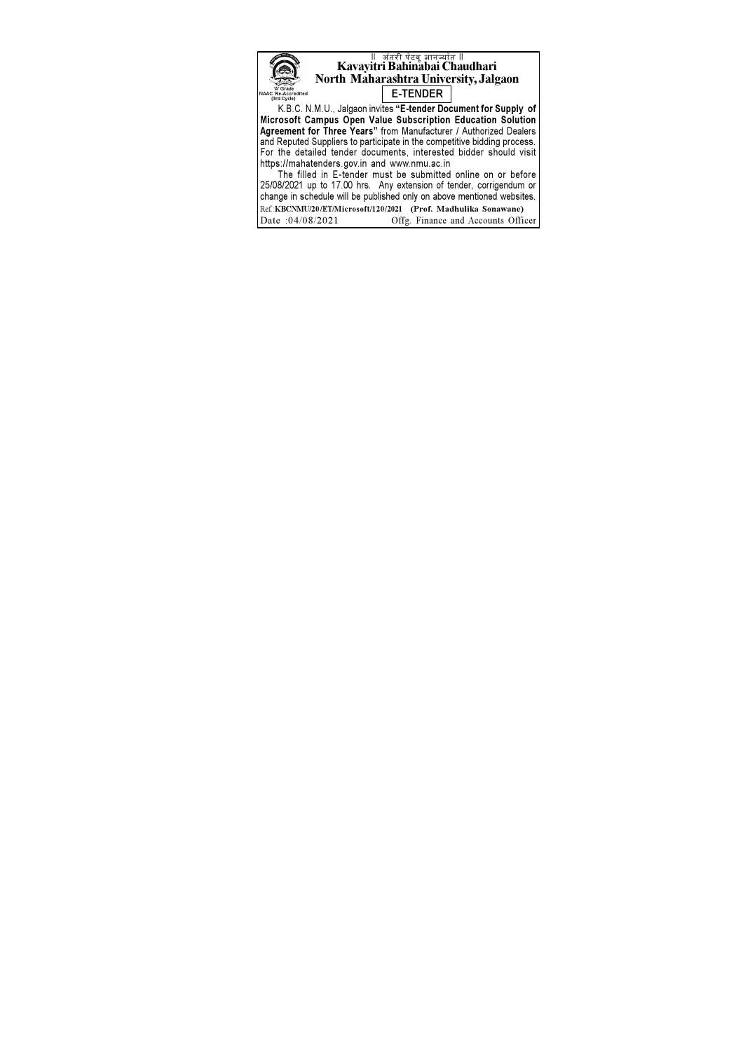

The filled in E-tender must be submitted online on or before 25/08/2021 up to 17.00 hrs. Any extension of tender, corrigendum or change in schedule will be published only on above mentioned websites. Ref KBCNMU/20/ET/Microsoft/120/2021 (Prof. Madhulika Sonawane) Date: 04/08/2021 Offg. Finance and Accounts Officer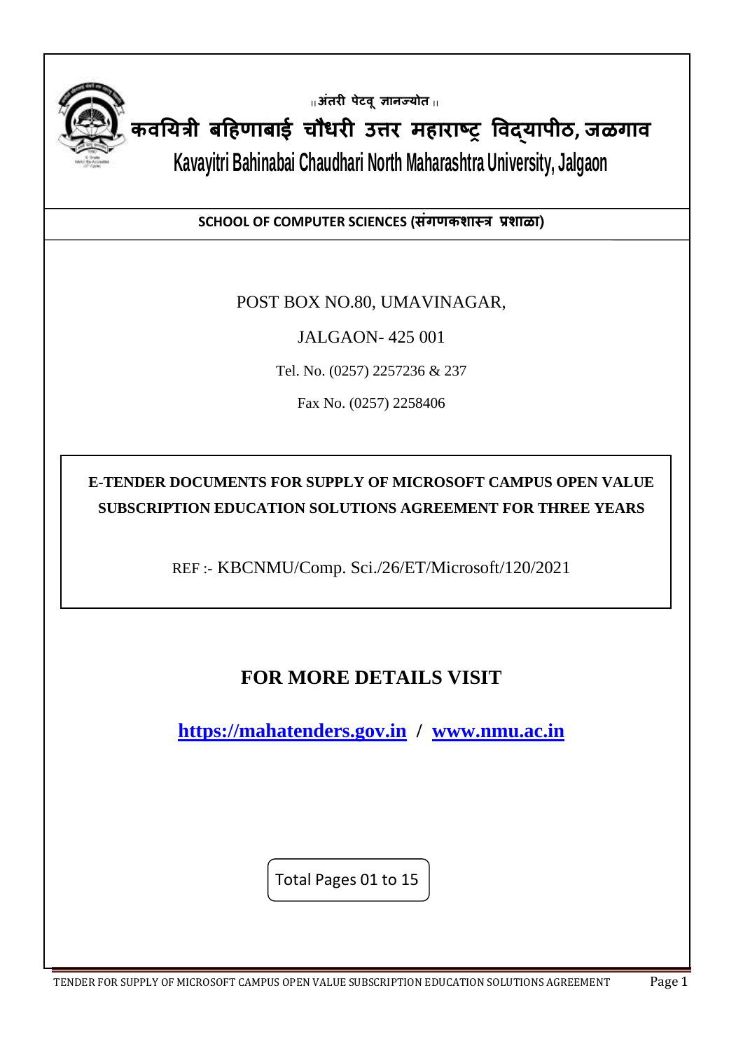

**|| अंतरी पेटवूज्ञानज्योत ||**

**कवययत्री बहिणाबाई चौधरी उत्तर मिाराष्ट्र ववद्यापीठ, जळगाव**

l

**Kavayitri Bahinabai Chaudhari North Maharashtra University, Jalgaon**

**SCHOOL OF COMPUTER SCIENCES (संगणकशास्त्त्र प्रशाळा)**

POST BOX NO.80, UMAVINAGAR,

JALGAON- 425 001

Tel. No. (0257) 2257236 & 237

Fax No. (0257) 2258406

**E-TENDER DOCUMENTS FOR SUPPLY OF MICROSOFT CAMPUS OPEN VALUE SUBSCRIPTION EDUCATION SOLUTIONS AGREEMENT FOR THREE YEARS**

REF :- KBCNMU/Comp. Sci./26/ET/Microsoft/120/2021

# **FOR MORE DETAILS VISIT**

**[https://mahatenders.gov.in](https://mahatenders.gov.in/) / [www.nmu.ac.in](http://www.nmu.ac.in/)**

Total Pages 01 to 15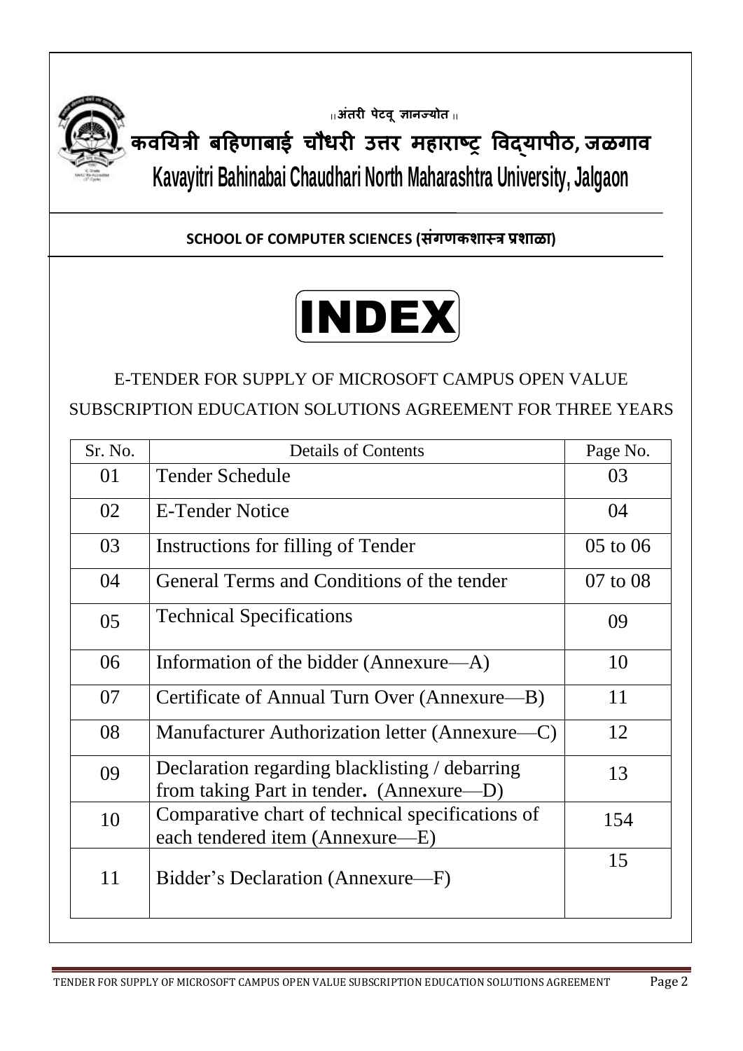

**|| अंतरी पेटवूज्ञानज्योत ||**

**कवययत्री बहिणाबाई चौधरी उत्तर मिाराष्ट्र ववद्यापीठ, जळगाव Kavayitri Bahinabai Chaudhari North Maharashtra University, Jalgaon**

**SCHOOL OF COMPUTER SCIENCES (संगणकशास्त्र प्रशाळा)**



E-TENDER FOR SUPPLY OF MICROSOFT CAMPUS OPEN VALUE SUBSCRIPTION EDUCATION SOLUTIONS AGREEMENT FOR THREE YEARS

| Sr. No. | <b>Details of Contents</b>                                                                 | Page No. |
|---------|--------------------------------------------------------------------------------------------|----------|
| 01      | Tender Schedule<br>03                                                                      |          |
| 02      | <b>E-Tender Notice</b>                                                                     | 04       |
| 03      | Instructions for filling of Tender                                                         | 05 to 06 |
| 04      | General Terms and Conditions of the tender                                                 | 07 to 08 |
| 05      | <b>Technical Specifications</b><br>09                                                      |          |
| 06      | Information of the bidder (Annexure—A)                                                     | 10       |
| 07      | Certificate of Annual Turn Over (Annexure—B)                                               | 11       |
| 08      | Manufacturer Authorization letter (Annexure—C)                                             | 12       |
| 09      | Declaration regarding blacklisting / debarring<br>from taking Part in tender. (Annexure—D) | 13       |
| 10      | Comparative chart of technical specifications of<br>each tendered item (Annexure—E)        | 154      |
| 11      | Bidder's Declaration (Annexure—F)                                                          | 15       |
|         |                                                                                            |          |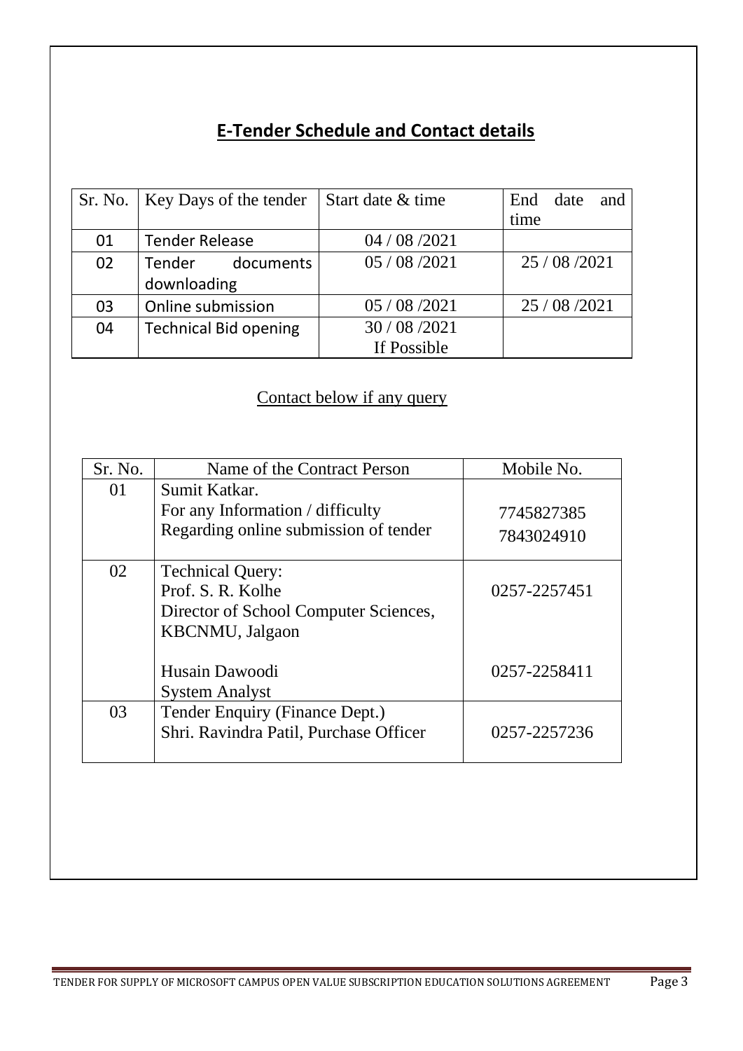# **E-Tender Schedule and Contact details**

|    | Sr. No.   Key Days of the tender | Start date & time | End date<br>and |
|----|----------------------------------|-------------------|-----------------|
|    |                                  |                   | time            |
| 01 | <b>Tender Release</b>            | 04 / 08 / 2021    |                 |
| 02 | Tender documents                 | 05/08/2021        | 25/08/2021      |
|    | downloading                      |                   |                 |
| 03 | Online submission                | 05 / 08 / 2021    | 25 / 08 / 2021  |
| 04 | <b>Technical Bid opening</b>     | 30/08/2021        |                 |
|    |                                  | If Possible       |                 |

# Contact below if any query

| Sr. No. | Name of the Contract Person            | Mobile No.   |
|---------|----------------------------------------|--------------|
| 01      | Sumit Katkar.                          |              |
|         | For any Information / difficulty       | 7745827385   |
|         | Regarding online submission of tender  | 7843024910   |
| 02      | <b>Technical Query:</b>                |              |
|         | Prof. S. R. Kolhe                      | 0257-2257451 |
|         | Director of School Computer Sciences,  |              |
|         | <b>KBCNMU</b> , Jalgaon                |              |
|         |                                        |              |
|         | Husain Dawoodi                         | 0257-2258411 |
|         | <b>System Analyst</b>                  |              |
| 03      | Tender Enquiry (Finance Dept.)         |              |
|         | Shri. Ravindra Patil, Purchase Officer | 0257-2257236 |
|         |                                        |              |
|         |                                        |              |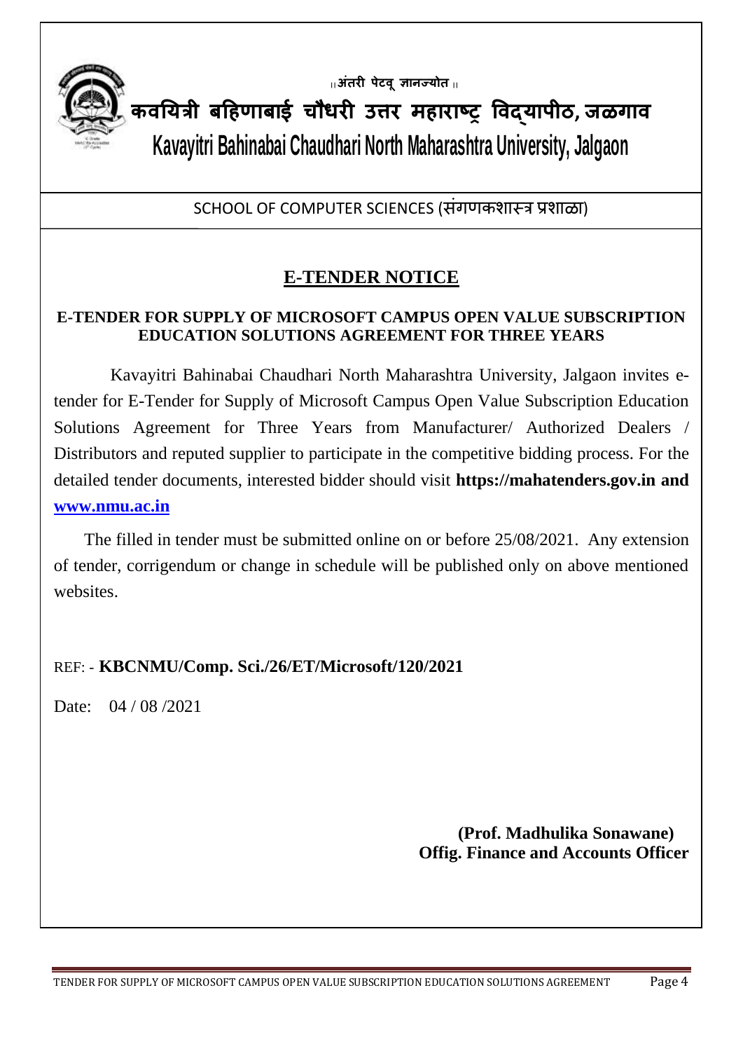

**|| अंतरी पेटवूज्ञानज्योत ||**

**कवययत्री बहिणाबाई चौधरी उत्तर मिाराष्ट्र ववद्यापीठ, जळगाव Kavayitri Bahinabai Chaudhari North Maharashtra University, Jalgaon**

SCHOOL OF COMPUTER SCIENCES (संगणकशास्त्र प्रशाळा)

# **E-TENDER NOTICE**

### **E-TENDER FOR SUPPLY OF MICROSOFT CAMPUS OPEN VALUE SUBSCRIPTION EDUCATION SOLUTIONS AGREEMENT FOR THREE YEARS**

 Kavayitri Bahinabai Chaudhari North Maharashtra University, Jalgaon invites etender for E-Tender for Supply of Microsoft Campus Open Value Subscription Education Solutions Agreement for Three Years from Manufacturer/ Authorized Dealers / Distributors and reputed supplier to participate in the competitive bidding process. For the detailed tender documents, interested bidder should visit **https://mahatenders.gov.in and [www.nmu.ac.in](http://www.nmu.ac.in/)**

 The filled in tender must be submitted online on or before 25/08/2021. Any extension of tender, corrigendum or change in schedule will be published only on above mentioned websites.

## REF: - **KBCNMU/Comp. Sci./26/ET/Microsoft/120/2021**

Date: 04 / 08 / 2021

 **(Prof. Madhulika Sonawane) Offig. Finance and Accounts Officer**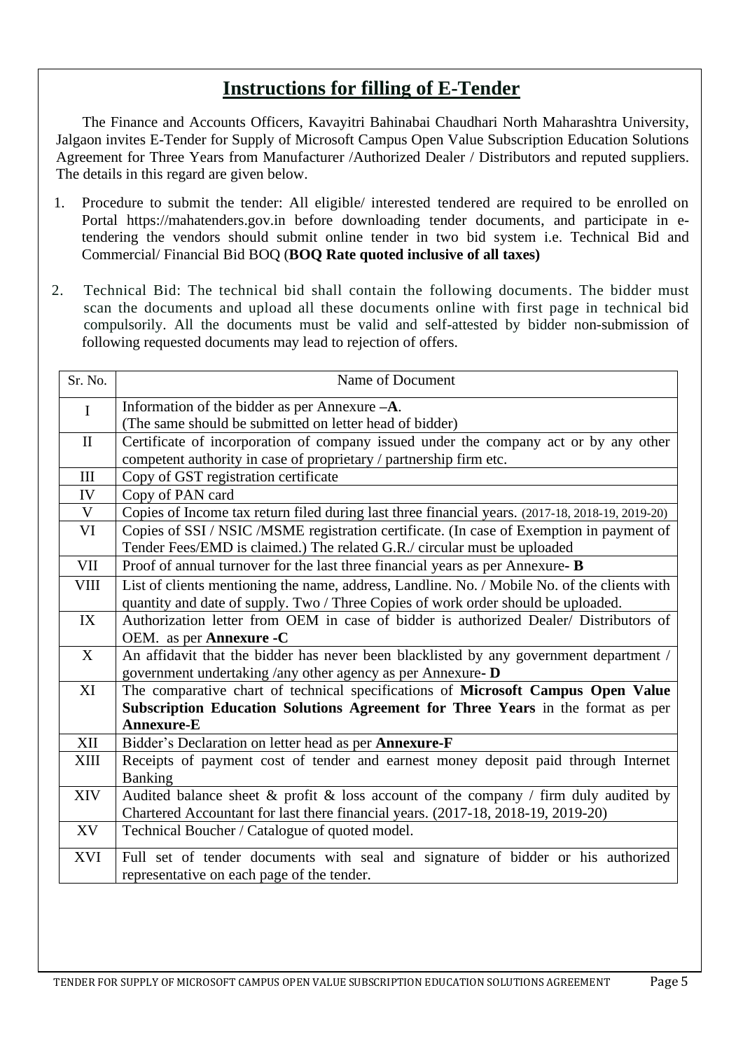# **Instructions for filling of E-Tender**

 The Finance and Accounts Officers, Kavayitri Bahinabai Chaudhari North Maharashtra University, Jalgaon invites E-Tender for Supply of Microsoft Campus Open Value Subscription Education Solutions Agreement for Three Years from Manufacturer /Authorized Dealer / Distributors and reputed suppliers. The details in this regard are given below.

- 1. Procedure to submit the tender: All eligible/ interested tendered are required to be enrolled on Portal https://mahatenders.gov.in before downloading tender documents, and participate in etendering the vendors should submit online tender in two bid system i.e. Technical Bid and Commercial/ Financial Bid BOQ (**BOQ Rate quoted inclusive of all taxes)**
- 2. Technical Bid: The technical bid shall contain the following documents. The bidder must scan the documents and upload all these documents online with first page in technical bid compulsorily. All the documents must be valid and self-attested by bidder non-submission of following requested documents may lead to rejection of offers.

| Name of Document                                                                                 |  |
|--------------------------------------------------------------------------------------------------|--|
| Information of the bidder as per Annexure $-A$ .                                                 |  |
| (The same should be submitted on letter head of bidder)                                          |  |
| Certificate of incorporation of company issued under the company act or by any other             |  |
| competent authority in case of proprietary / partnership firm etc.                               |  |
| Copy of GST registration certificate                                                             |  |
| Copy of PAN card                                                                                 |  |
| Copies of Income tax return filed during last three financial years. (2017-18, 2018-19, 2019-20) |  |
| Copies of SSI / NSIC / MSME registration certificate. (In case of Exemption in payment of        |  |
| Tender Fees/EMD is claimed.) The related G.R./ circular must be uploaded                         |  |
| Proof of annual turnover for the last three financial years as per Annexure- B                   |  |
| List of clients mentioning the name, address, Landline. No. / Mobile No. of the clients with     |  |
| quantity and date of supply. Two / Three Copies of work order should be uploaded.                |  |
| Authorization letter from OEM in case of bidder is authorized Dealer/ Distributors of            |  |
| OEM. as per <b>Annexure -C</b>                                                                   |  |
| An affidavit that the bidder has never been blacklisted by any government department /           |  |
| government undertaking /any other agency as per Annexure- D                                      |  |
| The comparative chart of technical specifications of Microsoft Campus Open Value                 |  |
| Subscription Education Solutions Agreement for Three Years in the format as per                  |  |
| <b>Annexure-E</b>                                                                                |  |
| Bidder's Declaration on letter head as per Annexure-F                                            |  |
| Receipts of payment cost of tender and earnest money deposit paid through Internet               |  |
| Banking                                                                                          |  |
| Audited balance sheet $\&$ profit $\&$ loss account of the company / firm duly audited by        |  |
| Chartered Accountant for last there financial years. (2017-18, 2018-19, 2019-20)                 |  |
| Technical Boucher / Catalogue of quoted model.                                                   |  |
| Full set of tender documents with seal and signature of bidder or his authorized                 |  |
| representative on each page of the tender.                                                       |  |
|                                                                                                  |  |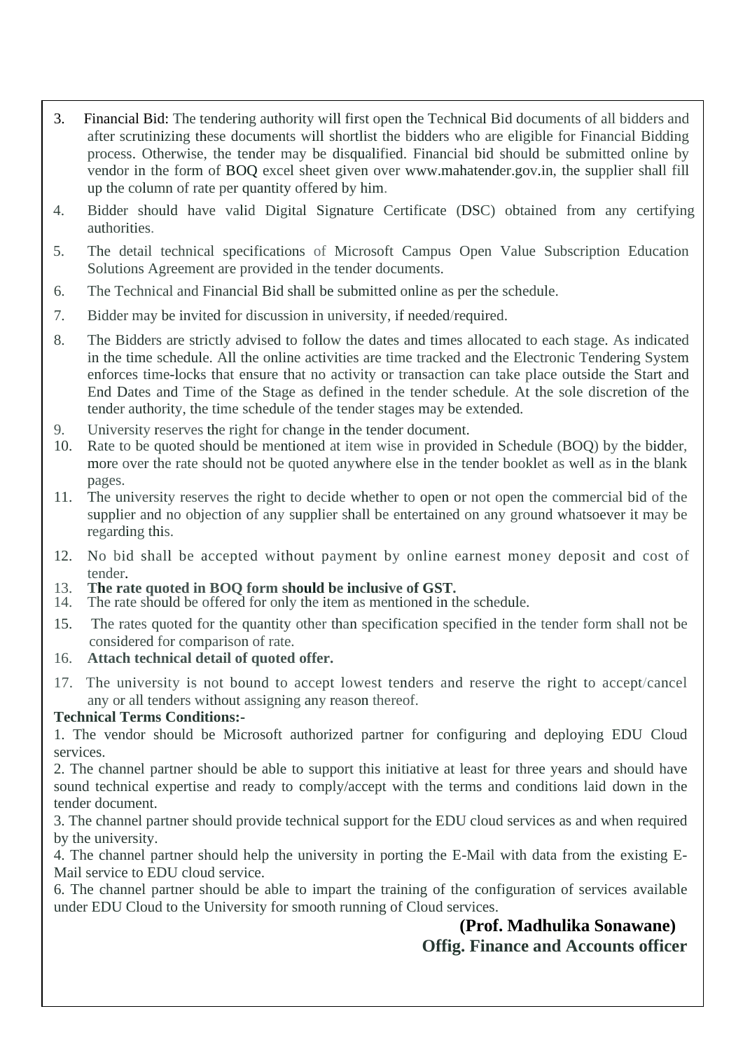- 3. Financial Bid: The tendering authority will first open the Technical Bid documents of all bidders and after scrutinizing these documents will shortlist the bidders who are eligible for Financial Bidding process. Otherwise, the tender may be disqualified. Financial bid should be submitted online by vendor in the form of BOQ excel sheet given over [www.mahatender.gov.in,](http://www.mahatender.gov.in,/) the supplier shall fill up the column of rate per quantity offered by him.
- 4. Bidder should have valid Digital Signature Certificate (DSC) obtained from any certifying authorities.
- 5. The detail technical specifications of Microsoft Campus Open Value Subscription Education Solutions Agreement are provided in the tender documents.
- 6. The Technical and Financial Bid shall be submitted online as per the schedule.
- 7. Bidder may be invited for discussion in university, if needed/required.
- 8. The Bidders are strictly advised to follow the dates and times allocated to each stage. As indicated in the time schedule. All the online activities are time tracked and the Electronic Tendering System enforces time-locks that ensure that no activity or transaction can take place outside the Start and End Dates and Time of the Stage as defined in the tender schedule. At the sole discretion of the tender authority, the time schedule of the tender stages may be extended.
- 9. University reserves the right for change in the tender document.
- 10. Rate to be quoted should be mentioned at item wise in provided in Schedule (BOQ) by the bidder, more over the rate should not be quoted anywhere else in the tender booklet as well as in the blank pages.
- 11. The university reserves the right to decide whether to open or not open the commercial bid of the supplier and no objection of any supplier shall be entertained on any ground whatsoever it may be regarding this.
- 12. No bid shall be accepted without payment by online earnest money deposit and cost of tender.
- 13. **The rate quoted in BOQ form should be inclusive of GST.**
- The rate should be offered for only the item as mentioned in the schedule.
- 15. The rates quoted for the quantity other than specification specified in the tender form shall not be considered for comparison of rate.
- 16. **Attach technical detail of quoted offer.**
- 17. The university is not bound to accept lowest tenders and reserve the right to accept/cancel any or all tenders without assigning any reason thereof.

#### **Technical Terms Conditions:-**

1. The vendor should be Microsoft authorized partner for configuring and deploying EDU Cloud services.

2. The channel partner should be able to support this initiative at least for three years and should have sound technical expertise and ready to comply/accept with the terms and conditions laid down in the tender document.

3. The channel partner should provide technical support for the EDU cloud services as and when required by the university.

4. The channel partner should help the university in porting the E-Mail with data from the existing E-Mail service to EDU cloud service.

6. The channel partner should be able to impart the training of the configuration of services available under EDU Cloud to the University for smooth running of Cloud services.

# **(Prof. Madhulika Sonawane) Offig. Finance and Accounts officer**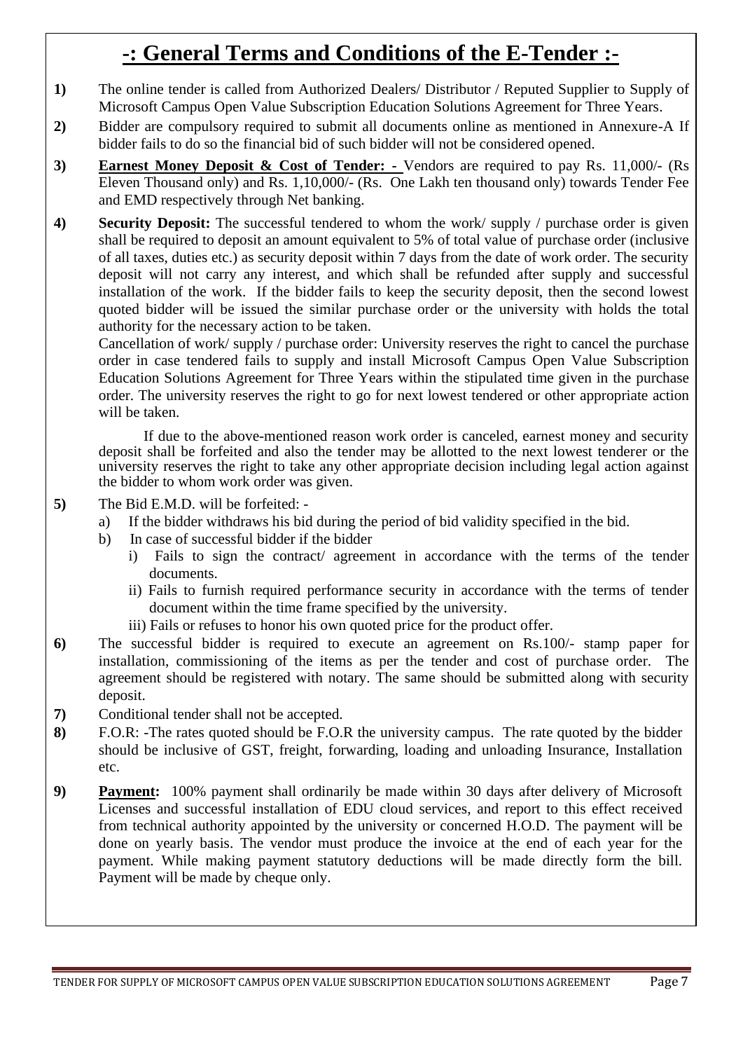# **-: General Terms and Conditions of the E-Tender :-**

- **1)** The online tender is called from Authorized Dealers/ Distributor / Reputed Supplier to Supply of Microsoft Campus Open Value Subscription Education Solutions Agreement for Three Years.
- **2)** Bidder are compulsory required to submit all documents online as mentioned in Annexure-A If bidder fails to do so the financial bid of such bidder will not be considered opened.
- **3) Earnest Money Deposit & Cost of Tender: -** Vendors are required to pay Rs. 11,000/- (Rs Eleven Thousand only) and Rs. 1,10,000/- (Rs. One Lakh ten thousand only) towards Tender Fee and EMD respectively through Net banking.
- **4) Security Deposit:** The successful tendered to whom the work/ supply / purchase order is given shall be required to deposit an amount equivalent to 5% of total value of purchase order (inclusive of all taxes, duties etc.) as security deposit within 7 days from the date of work order. The security deposit will not carry any interest, and which shall be refunded after supply and successful installation of the work. If the bidder fails to keep the security deposit, then the second lowest quoted bidder will be issued the similar purchase order or the university with holds the total authority for the necessary action to be taken.

Cancellation of work/ supply / purchase order: University reserves the right to cancel the purchase order in case tendered fails to supply and install Microsoft Campus Open Value Subscription Education Solutions Agreement for Three Years within the stipulated time given in the purchase order. The university reserves the right to go for next lowest tendered or other appropriate action will be taken.

If due to the above-mentioned reason work order is canceled, earnest money and security deposit shall be forfeited and also the tender may be allotted to the next lowest tenderer or the university reserves the right to take any other appropriate decision including legal action against the bidder to whom work order was given.

- **5)** The Bid E.M.D. will be forfeited:
	- a) If the bidder withdraws his bid during the period of bid validity specified in the bid.
	- b) In case of successful bidder if the bidder
		- i) Fails to sign the contract/ agreement in accordance with the terms of the tender documents.
		- ii) Fails to furnish required performance security in accordance with the terms of tender document within the time frame specified by the university.
		- iii) Fails or refuses to honor his own quoted price for the product offer.
- **6)** The successful bidder is required to execute an agreement on Rs.100/- stamp paper for installation, commissioning of the items as per the tender and cost of purchase order. The agreement should be registered with notary. The same should be submitted along with security deposit.
- **7)** Conditional tender shall not be accepted.
- **8)** F.O.R: -The rates quoted should be F.O.R the university campus. The rate quoted by the bidder should be inclusive of GST, freight, forwarding, loading and unloading Insurance, Installation etc.
- **9) Payment:** 100% payment shall ordinarily be made within 30 days after delivery of Microsoft Licenses and successful installation of EDU cloud services, and report to this effect received from technical authority appointed by the university or concerned H.O.D. The payment will be done on yearly basis. The vendor must produce the invoice at the end of each year for the payment. While making payment statutory deductions will be made directly form the bill. Payment will be made by cheque only.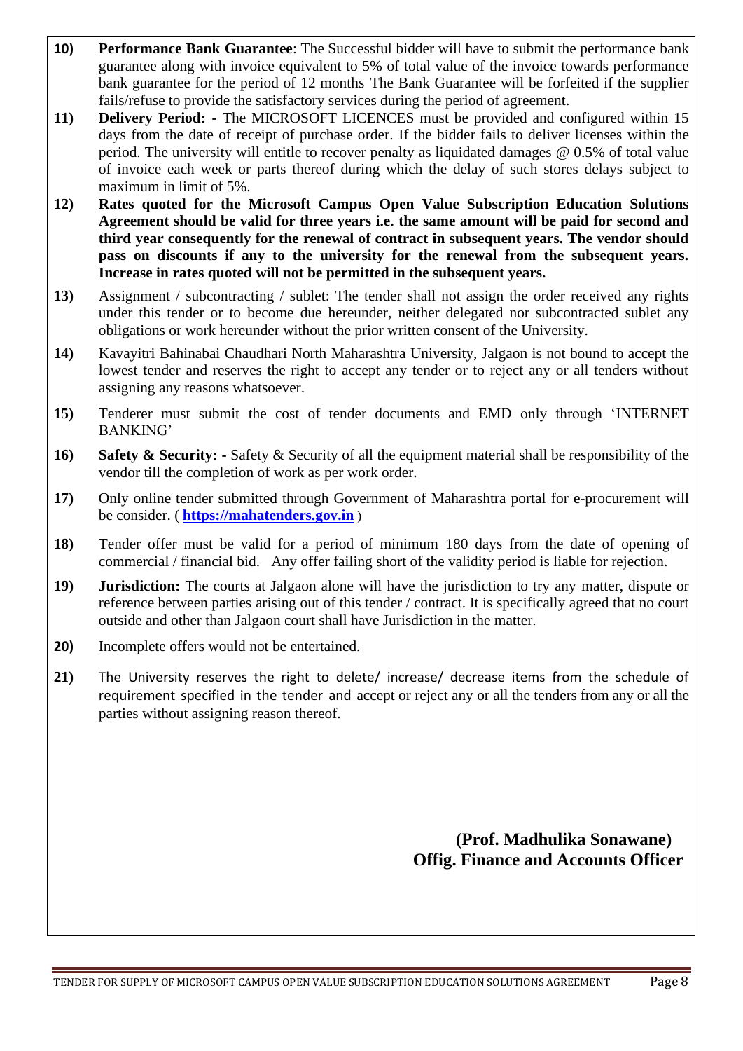- **10) Performance Bank Guarantee**: The Successful bidder will have to submit the performance bank guarantee along with invoice equivalent to 5% of total value of the invoice towards performance bank guarantee for the period of 12 months The Bank Guarantee will be forfeited if the supplier fails/refuse to provide the satisfactory services during the period of agreement.
- **11) Delivery Period: -** The MICROSOFT LICENCES must be provided and configured within 15 days from the date of receipt of purchase order. If the bidder fails to deliver licenses within the period. The university will entitle to recover penalty as liquidated damages @ 0.5% of total value of invoice each week or parts thereof during which the delay of such stores delays subject to maximum in limit of 5%.
- **12) Rates quoted for the Microsoft Campus Open Value Subscription Education Solutions Agreement should be valid for three years i.e. the same amount will be paid for second and third year consequently for the renewal of contract in subsequent years. The vendor should pass on discounts if any to the university for the renewal from the subsequent years. Increase in rates quoted will not be permitted in the subsequent years.**
- **13)** Assignment / subcontracting / sublet: The tender shall not assign the order received any rights under this tender or to become due hereunder, neither delegated nor subcontracted sublet any obligations or work hereunder without the prior written consent of the University.
- **14)** Kavayitri Bahinabai Chaudhari North Maharashtra University, Jalgaon is not bound to accept the lowest tender and reserves the right to accept any tender or to reject any or all tenders without assigning any reasons whatsoever.
- **15)** Tenderer must submit the cost of tender documents and EMD only through 'INTERNET BANKING'
- **16) Safety & Security: -** Safety & Security of all the equipment material shall be responsibility of the vendor till the completion of work as per work order.
- **17)** Only online tender submitted through Government of Maharashtra portal for e-procurement will be consider. ( **[https://mahatenders.gov.in](https://mahatenders.gov.in/)** )
- **18)** Tender offer must be valid for a period of minimum 180 days from the date of opening of commercial / financial bid. Any offer failing short of the validity period is liable for rejection.
- **19) Jurisdiction:** The courts at Jalgaon alone will have the jurisdiction to try any matter, dispute or reference between parties arising out of this tender / contract. It is specifically agreed that no court outside and other than Jalgaon court shall have Jurisdiction in the matter.
- **20)** Incomplete offers would not be entertained.
- **21)** The University reserves the right to delete/ increase/ decrease items from the schedule of requirement specified in the tender and accept or reject any or all the tenders from any or all the parties without assigning reason thereof.

 **(Prof. Madhulika Sonawane) Offig. Finance and Accounts Officer**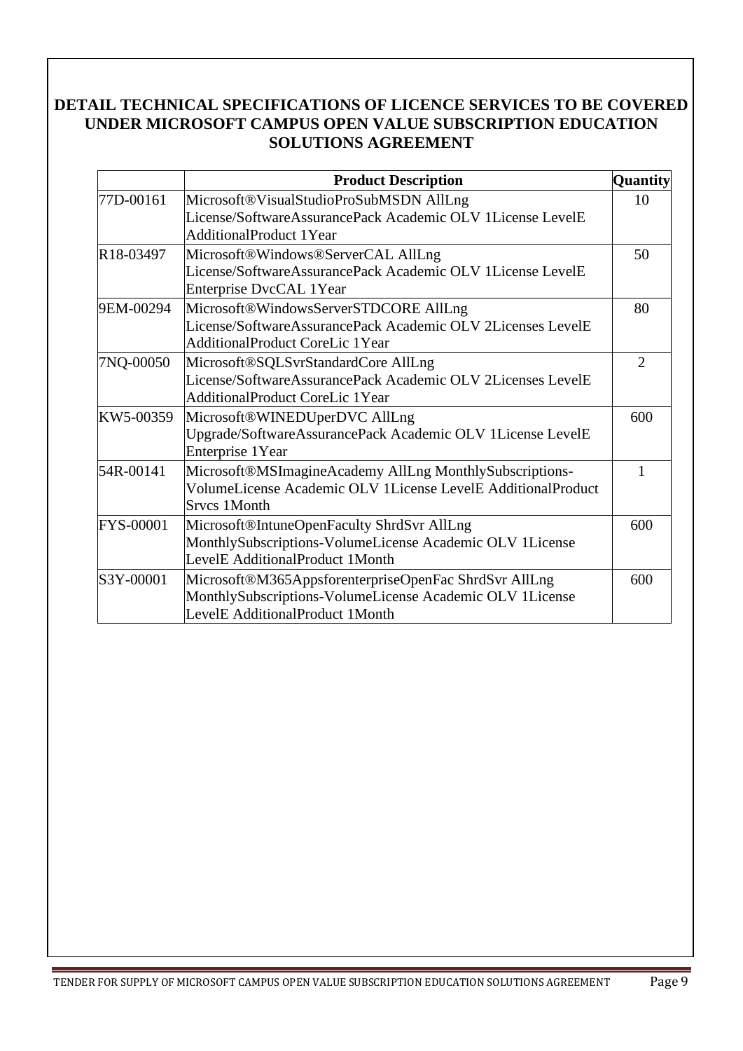#### **DETAIL TECHNICAL SPECIFICATIONS OF LICENCE SERVICES TO BE COVERED UNDER MICROSOFT CAMPUS OPEN VALUE SUBSCRIPTION EDUCATION SOLUTIONS AGREEMENT**

|                        | <b>Product Description</b>                                                                            | <b>Quantity</b> |
|------------------------|-------------------------------------------------------------------------------------------------------|-----------------|
| 77D-00161              | Microsoft®VisualStudioProSubMSDN AllLng                                                               | 10              |
|                        | License/SoftwareAssurancePack Academic OLV 1License LevelE                                            |                 |
|                        | <b>AdditionalProduct 1Year</b>                                                                        |                 |
| R <sub>18</sub> -03497 | Microsoft®Windows®ServerCAL AllLng                                                                    | 50              |
|                        | License/SoftwareAssurancePack Academic OLV 1License LevelE<br>Enterprise DvcCAL 1Year                 |                 |
| 9EM-00294              | Microsoft®WindowsServerSTDCORE AllLng                                                                 | 80              |
|                        | License/SoftwareAssurancePack Academic OLV 2Licenses LevelE<br><b>AdditionalProduct CoreLic 1Year</b> |                 |
| 7NQ-00050              | Microsoft®SQLSvrStandardCore AllLng                                                                   | $\overline{2}$  |
|                        | License/SoftwareAssurancePack Academic OLV 2Licenses LevelE                                           |                 |
|                        | <b>AdditionalProduct CoreLic 1Year</b>                                                                |                 |
| KW5-00359              | Microsoft®WINEDUperDVC AllLng                                                                         | 600             |
|                        | Upgrade/SoftwareAssurancePack Academic OLV 1License LevelE<br><b>Enterprise 1Year</b>                 |                 |
| 54R-00141              | Microsoft®MSImagineAcademy AllLng MonthlySubscriptions-                                               | 1               |
|                        | VolumeLicense Academic OLV 1License LevelE AdditionalProduct<br><b>Srvcs 1Month</b>                   |                 |
| FYS-00001              | Microsoft®IntuneOpenFaculty ShrdSvr AllLng                                                            | 600             |
|                        | MonthlySubscriptions-VolumeLicense Academic OLV 1License                                              |                 |
|                        | LevelE AdditionalProduct 1Month                                                                       |                 |
| S3Y-00001              | Microsoft®M365AppsforenterpriseOpenFac ShrdSvr AllLng                                                 | 600             |
|                        | MonthlySubscriptions-VolumeLicense Academic OLV 1License                                              |                 |
|                        | LevelE AdditionalProduct 1Month                                                                       |                 |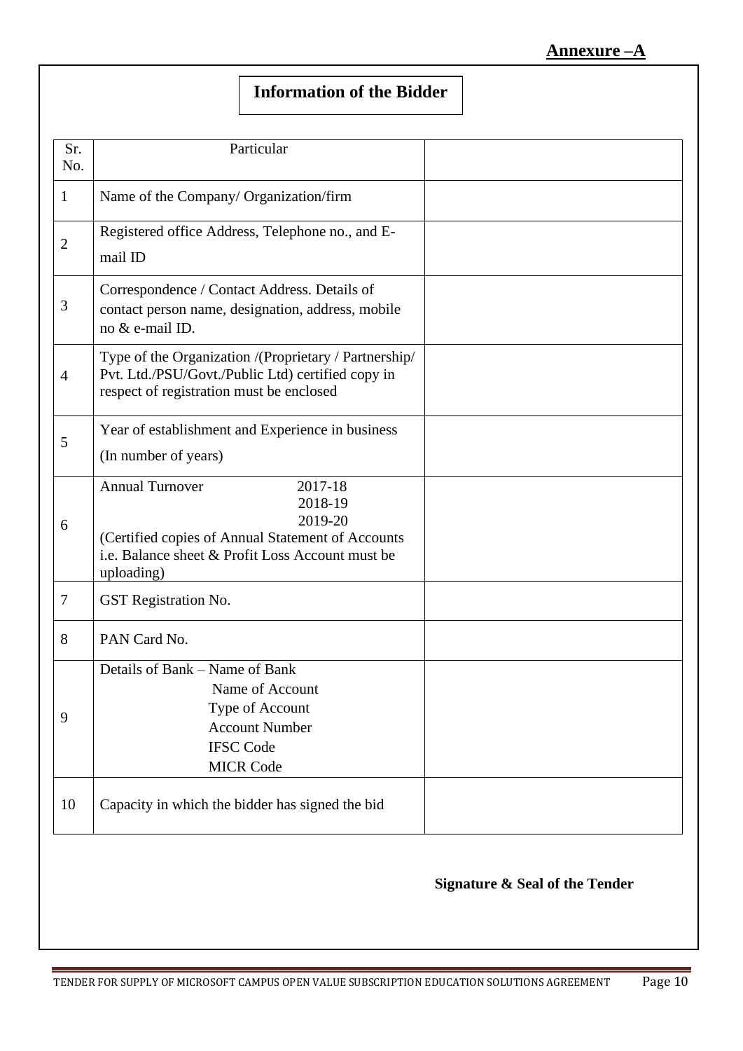# **Information of the Bidder**

| Sr.<br>No.     | Particular                                                                                                                                                                     |  |
|----------------|--------------------------------------------------------------------------------------------------------------------------------------------------------------------------------|--|
| $\mathbf{1}$   | Name of the Company/ Organization/firm                                                                                                                                         |  |
| $\mathbf{2}$   | Registered office Address, Telephone no., and E-<br>mail ID                                                                                                                    |  |
| 3              | Correspondence / Contact Address. Details of<br>contact person name, designation, address, mobile<br>no & e-mail ID.                                                           |  |
| $\overline{4}$ | Type of the Organization /(Proprietary / Partnership/<br>Pvt. Ltd./PSU/Govt./Public Ltd) certified copy in<br>respect of registration must be enclosed                         |  |
| 5              | Year of establishment and Experience in business<br>(In number of years)                                                                                                       |  |
| 6              | <b>Annual Turnover</b><br>2017-18<br>2018-19<br>2019-20<br>(Certified copies of Annual Statement of Accounts<br>i.e. Balance sheet & Profit Loss Account must be<br>uploading) |  |
| $\tau$         | GST Registration No.                                                                                                                                                           |  |
| 8              | PAN Card No.                                                                                                                                                                   |  |
| 9              | Details of Bank – Name of Bank<br>Name of Account<br>Type of Account<br><b>Account Number</b><br><b>IFSC Code</b><br><b>MICR Code</b>                                          |  |
| 10             | Capacity in which the bidder has signed the bid                                                                                                                                |  |

#### **Signature & Seal of the Tender**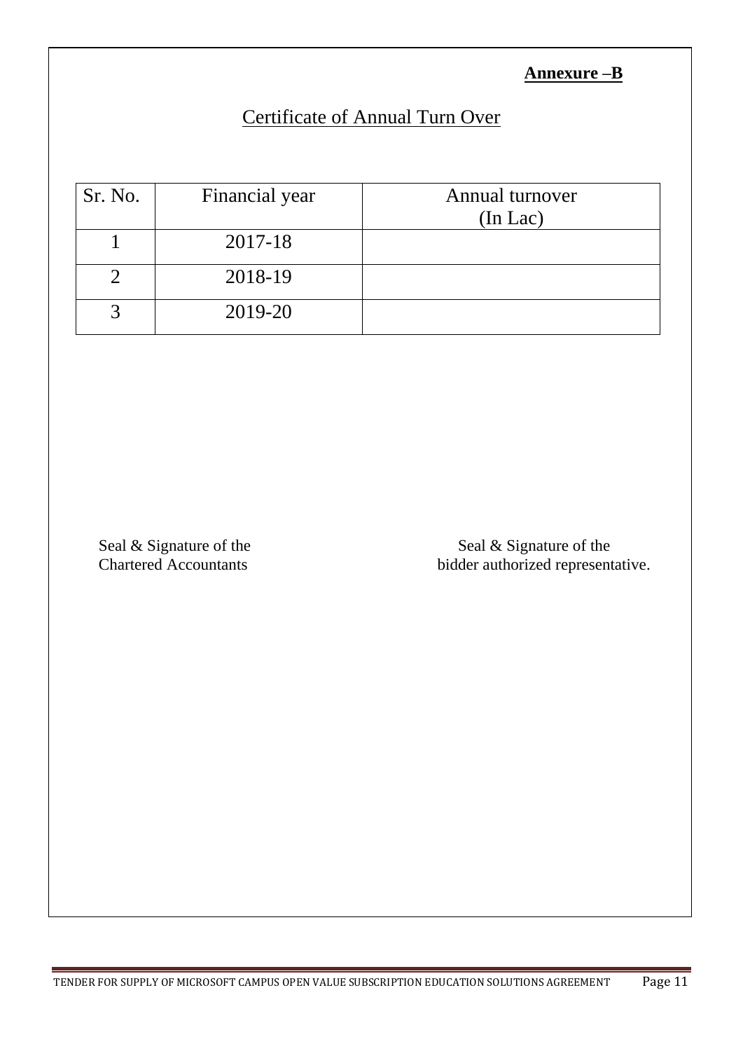### **Annexure –B**

# Certificate of Annual Turn Over

| Sr. No. | Financial year | Annual turnover<br>$(In$ Lac $)$ |
|---------|----------------|----------------------------------|
|         | 2017-18        |                                  |
|         | 2018-19        |                                  |
|         | 2019-20        |                                  |

Seal & Signature of the Seal & Signature of the Seal & Signature of the Seal & Signature of the Seal & Signature of the Seal & Signature of the Seal & Signature of the Seal & Signature of the Seal & Signature of the Seal & bidder authorized representative.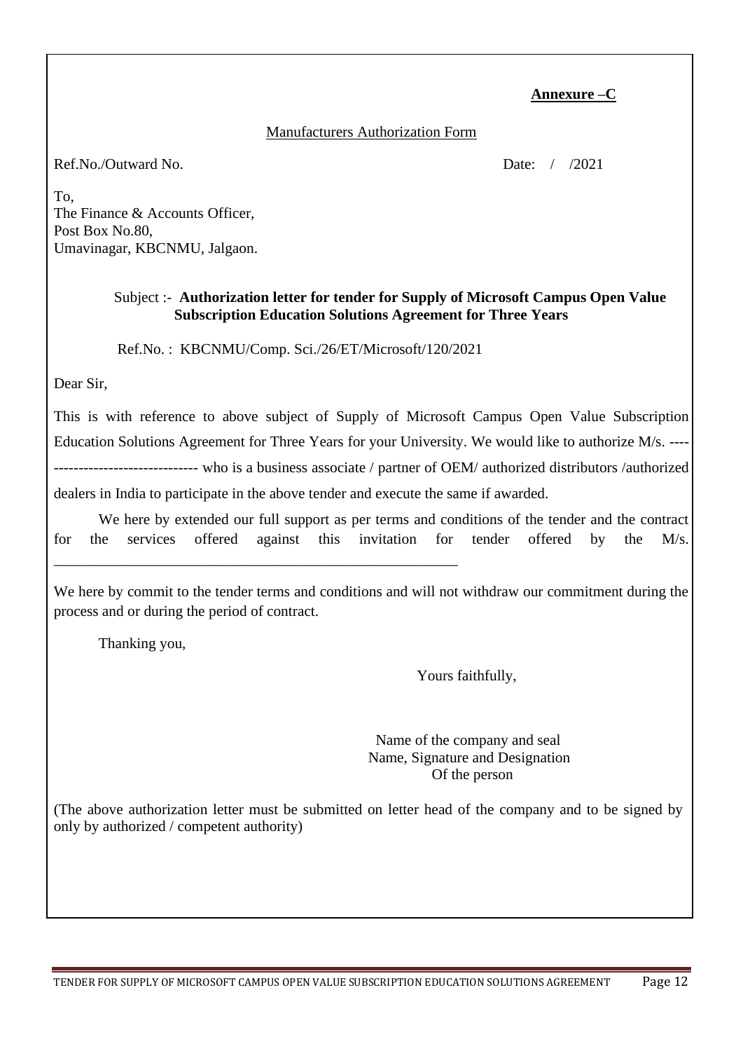#### **Annexure –C**

#### Manufacturers Authorization Form

Ref.No./Outward No. 2021

To, The Finance & Accounts Officer, Post Box No.80, Umavinagar, KBCNMU, Jalgaon.

#### Subject :- **Authorization letter for tender for Supply of Microsoft Campus Open Value Subscription Education Solutions Agreement for Three Years**

Ref.No. : KBCNMU/Comp. Sci./26/ET/Microsoft/120/2021

\_\_\_\_\_\_\_\_\_\_\_\_\_\_\_\_\_\_\_\_\_\_\_\_\_\_\_\_\_\_\_\_\_\_\_\_\_\_\_\_\_\_\_\_\_\_\_\_\_\_\_\_\_\_

Dear Sir,

This is with reference to above subject of Supply of Microsoft Campus Open Value Subscription Education Solutions Agreement for Three Years for your University. We would like to authorize M/s. ---- ----------------------------- who is a business associate / partner of OEM/ authorized distributors /authorized dealers in India to participate in the above tender and execute the same if awarded.

We here by extended our full support as per terms and conditions of the tender and the contract for the services offered against this invitation for tender offered by the M/s.

We here by commit to the tender terms and conditions and will not withdraw our commitment during the process and or during the period of contract.

Thanking you,

Yours faithfully,

 Name of the company and seal Name, Signature and Designation Of the person

(The above authorization letter must be submitted on letter head of the company and to be signed by only by authorized / competent authority)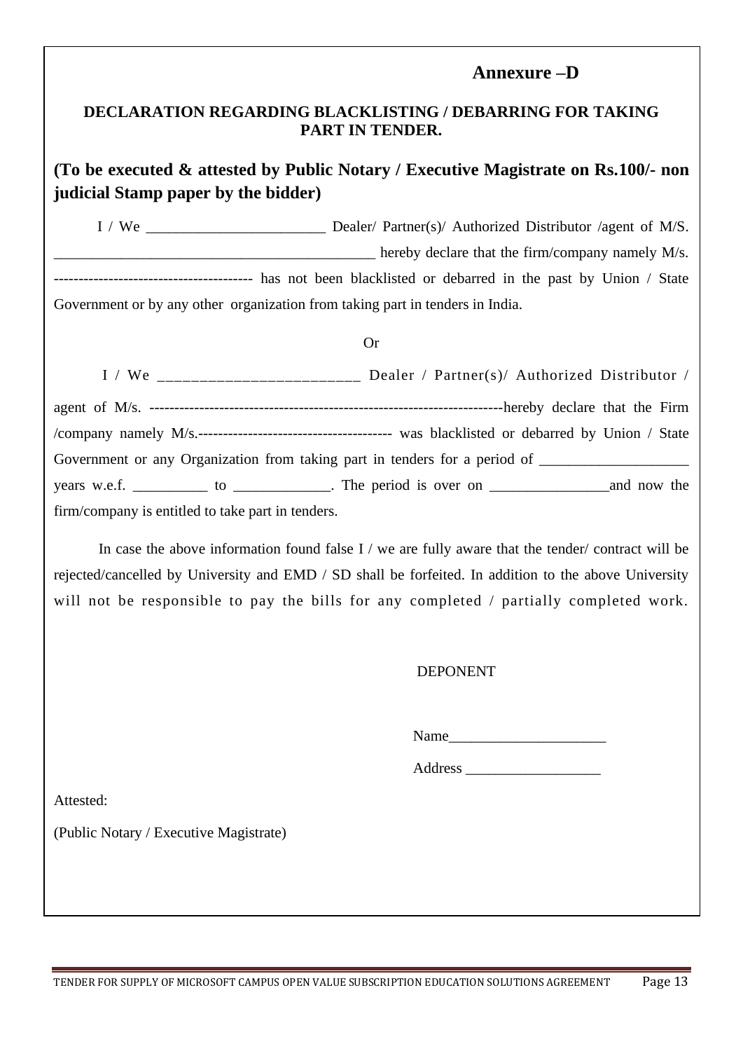#### **Annexure –D**

#### **DECLARATION REGARDING BLACKLISTING / DEBARRING FOR TAKING PART IN TENDER.**

### **(To be executed & attested by Public Notary / Executive Magistrate on Rs.100/- non judicial Stamp paper by the bidder)**

I / We \_\_\_\_\_\_\_\_\_\_\_\_\_\_\_\_\_\_\_\_\_\_\_\_ Dealer/ Partner(s)/ Authorized Distributor /agent of M/S. hereby declare that the firm/company namely M/s. ---------------------------------------- has not been blacklisted or debarred in the past by Union / State Government or by any other organization from taking part in tenders in India.

#### Or

|                                                   | I / We $\frac{1}{1}$ We $\frac{1}{1}$ We $\frac{1}{1}$ $\frac{1}{1}$ $\frac{1}{1}$ $\frac{1}{1}$ $\frac{1}{1}$ $\frac{1}{1}$ $\frac{1}{1}$ $\frac{1}{1}$ $\frac{1}{1}$ $\frac{1}{1}$ $\frac{1}{1}$ $\frac{1}{1}$ $\frac{1}{1}$ $\frac{1}{1}$ $\frac{1}{1}$ $\frac{1}{1}$ $\frac{1}{1}$ $\frac{1}{1}$ $\frac{1}{1}$ |
|---------------------------------------------------|--------------------------------------------------------------------------------------------------------------------------------------------------------------------------------------------------------------------------------------------------------------------------------------------------------------------|
|                                                   |                                                                                                                                                                                                                                                                                                                    |
|                                                   |                                                                                                                                                                                                                                                                                                                    |
|                                                   | Government or any Organization from taking part in tenders for a period of ________________________                                                                                                                                                                                                                |
|                                                   |                                                                                                                                                                                                                                                                                                                    |
| firm/company is entitled to take part in tenders. |                                                                                                                                                                                                                                                                                                                    |

In case the above information found false I / we are fully aware that the tender/ contract will be rejected/cancelled by University and EMD / SD shall be forfeited. In addition to the above University will not be responsible to pay the bills for any completed / partially completed work.

#### DEPONENT

Name\_\_\_\_\_\_\_\_\_\_\_\_\_\_\_\_\_\_\_\_\_

Address \_\_\_\_\_\_\_\_\_\_\_\_\_\_\_\_\_\_

Attested:

(Public Notary / Executive Magistrate)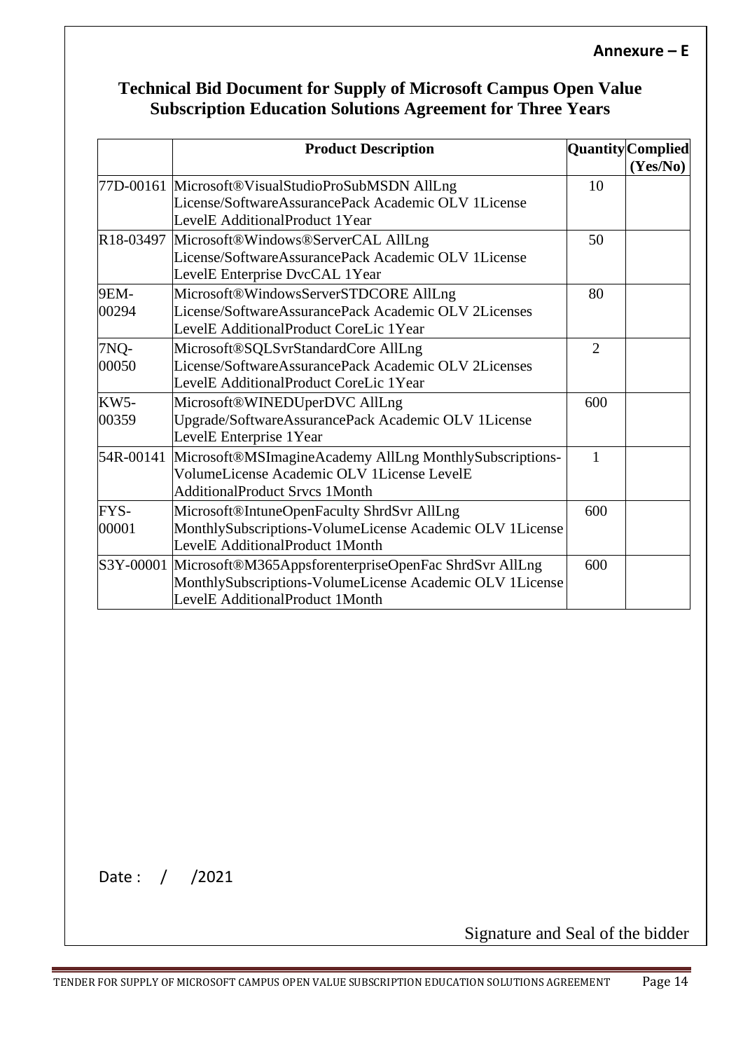## **Technical Bid Document for Supply of Microsoft Campus Open Value Subscription Education Solutions Agreement for Three Years**

|                      | <b>Product Description</b>                                                                                                                                     |     | <b>Quantity</b> Complied<br>(Yes/No) |
|----------------------|----------------------------------------------------------------------------------------------------------------------------------------------------------------|-----|--------------------------------------|
|                      | 77D-00161 Microsoft®VisualStudioProSubMSDN AllLng<br>License/SoftwareAssurancePack Academic OLV 1License<br>LevelE AdditionalProduct 1Year                     | 10  |                                      |
|                      | R18-03497 Microsoft®Windows®ServerCAL AllLng<br>License/SoftwareAssurancePack Academic OLV 1License<br>LevelE Enterprise DvcCAL 1Year                          | 50  |                                      |
| <b>9EM-</b><br>00294 | Microsoft®WindowsServerSTDCORE AllLng<br>License/SoftwareAssurancePack Academic OLV 2Licenses<br>LevelE AdditionalProduct CoreLic 1Year                        | 80  |                                      |
| 7NQ-<br>00050        | Microsoft®SQLSvrStandardCore AllLng<br>License/SoftwareAssurancePack Academic OLV 2Licenses<br>LevelE AdditionalProduct CoreLic 1Year                          | 2   |                                      |
| <b>KW5-</b><br>00359 | Microsoft®WINEDUperDVC AllLng<br>Upgrade/SoftwareAssurancePack Academic OLV 1License<br>LevelE Enterprise 1Year                                                | 600 |                                      |
| 54R-00141            | Microsoft®MSImagineAcademy AllLng MonthlySubscriptions-<br>VolumeLicense Academic OLV 1License LevelE<br><b>AdditionalProduct Srvcs 1Month</b>                 | 1   |                                      |
| FYS-<br>00001        | Microsoft®IntuneOpenFaculty ShrdSvr AllLng<br>MonthlySubscriptions-VolumeLicense Academic OLV 1License<br>LevelE AdditionalProduct 1Month                      | 600 |                                      |
|                      | S3Y-00001 Microsoft®M365AppsforenterpriseOpenFac ShrdSvr AllLng<br>MonthlySubscriptions-VolumeLicense Academic OLV 1License<br>LevelE AdditionalProduct 1Month | 600 |                                      |

Date : / /2021

Signature and Seal of the bidder